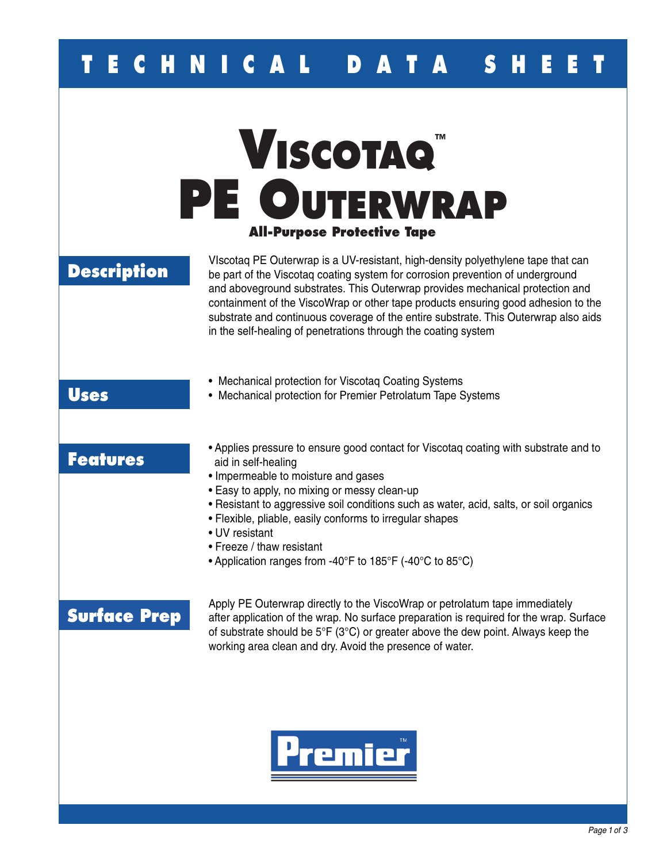## **E C H N I C A L D A T A S H E**

# **Viscotaq ™ PE Outerwrap All-Purpose Protective Tape**

### **Description**

VIscotaq PE Outerwrap is a UV-resistant, high-density polyethylene tape that can be part of the Viscotaq coating system for corrosion prevention of underground and aboveground substrates. This Outerwrap provides mechanical protection and containment of the ViscoWrap or other tape products ensuring good adhesion to the substrate and continuous coverage of the entire substrate. This Outerwrap also aids in the self-healing of penetrations through the coating system

- Mechanical protection for Viscotaq Coating Systems
- Mechanical protection for Premier Petrolatum Tape Systems

### **Features**

**Uses**

- Applies pressure to ensure good contact for Viscotaq coating with substrate and to aid in self-healing
- Impermeable to moisture and gases
- Easy to apply, no mixing or messy clean-up
- Resistant to aggressive soil conditions such as water, acid, salts, or soil organics
- Flexible, pliable, easily conforms to irregular shapes
- UV resistant
- Freeze / thaw resistant
- Application ranges from -40°F to 185°F (-40°C to 85°C)

### **Surface Prep**

Apply PE Outerwrap directly to the ViscoWrap or petrolatum tape immediately after application of the wrap. No surface preparation is required for the wrap. Surface of substrate should be 5°F (3°C) or greater above the dew point. Always keep the working area clean and dry. Avoid the presence of water.

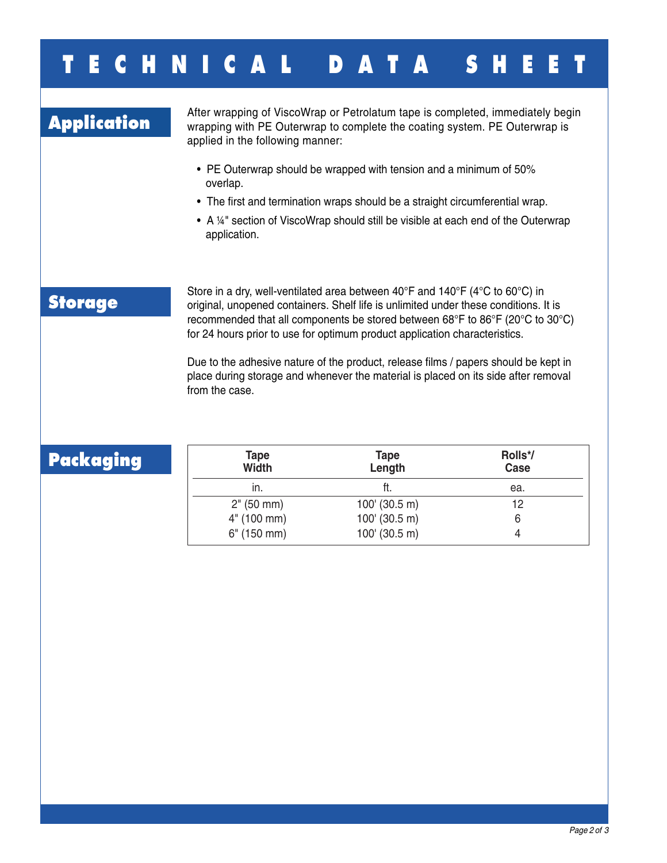## **T E C H N I C A L D A T A S H E E T**

Application and After wrapping of ViscoWrap or Petrolatum tape is completed, immediately begin<br>**Application** wrapping with PE Outerwrap to complete the coating system. PE Outerwrap is applied in the following manner:

- PE Outerwrap should be wrapped with tension and a minimum of 50% overlap.
- The first and termination wraps should be a straight circumferential wrap.
- A 1/4" section of ViscoWrap should still be visible at each end of the Outerwrap application.

### **Storage**

Store in a dry, well-ventilated area between 40°F and 140°F (4°C to 60°C) in original, unopened containers. Shelf life is unlimited under these conditions. It is recommended that all components be stored between 68°F to 86°F (20°C to 30°C) for 24 hours prior to use for optimum product application characteristics.

Due to the adhesive nature of the product, release films / papers should be kept in place during storage and whenever the material is placed on its side after removal from the case.

### **Packaging**

| Tape<br><b>Width</b> | <b>Tape</b><br>Length | Rolls*/<br>Case |
|----------------------|-----------------------|-----------------|
| in.                  | ft.                   | ea.             |
| 2" (50 mm)           | $100'$ (30.5 m)       | 12              |
| 4" (100 mm)          | $100'$ (30.5 m)       |                 |
| 6" (150 mm)          | $100'$ (30.5 m)       |                 |